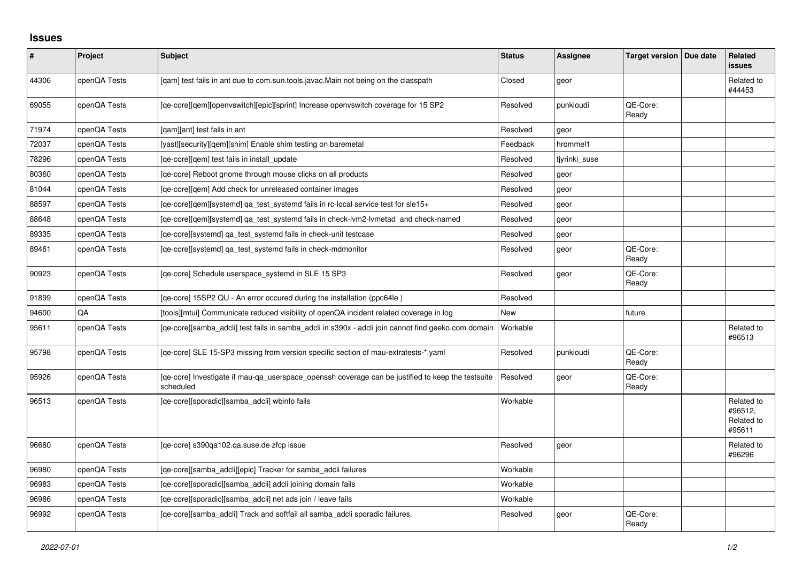## **Issues**

| $\vert$ # | Project      | Subject                                                                                                        | <b>Status</b> | <b>Assignee</b> | Target version   Due date | <b>Related</b><br><b>issues</b>               |
|-----------|--------------|----------------------------------------------------------------------------------------------------------------|---------------|-----------------|---------------------------|-----------------------------------------------|
| 44306     | openQA Tests | [qam] test fails in ant due to com.sun.tools.javac.Main not being on the classpath                             | Closed        | geor            |                           | Related to<br>#44453                          |
| 69055     | openQA Tests | [qe-core][qem][openvswitch][epic][sprint] Increase openvswitch coverage for 15 SP2                             | Resolved      | punkioudi       | QE-Core:<br>Ready         |                                               |
| 71974     | openQA Tests | [gam][ant] test fails in ant                                                                                   | Resolved      | geor            |                           |                                               |
| 72037     | openQA Tests | [yast][security][qem][shim] Enable shim testing on baremetal                                                   | Feedback      | hrommel1        |                           |                                               |
| 78296     | openQA Tests | [qe-core][qem] test fails in install_update                                                                    | Resolved      | tjyrinki_suse   |                           |                                               |
| 80360     | openQA Tests | [ge-core] Reboot gnome through mouse clicks on all products                                                    | Resolved      | geor            |                           |                                               |
| 81044     | openQA Tests | [qe-core][qem] Add check for unreleased container images                                                       | Resolved      | geor            |                           |                                               |
| 88597     | openQA Tests | [qe-core][gem][systemd] ga_test_systemd fails in rc-local service test for sle15+                              | Resolved      | geor            |                           |                                               |
| 88648     | openQA Tests | [ge-core][gem][systemd] ga test systemd fails in check-lym2-lymetad and check-named                            | Resolved      | geor            |                           |                                               |
| 89335     | openQA Tests | [qe-core][systemd] qa_test_systemd fails in check-unit testcase                                                | Resolved      | geor            |                           |                                               |
| 89461     | openQA Tests | [ge-core][systemd] ga_test_systemd fails in check-mdmonitor                                                    | Resolved      | geor            | QE-Core:<br>Ready         |                                               |
| 90923     | openQA Tests | [qe-core] Schedule userspace_systemd in SLE 15 SP3                                                             | Resolved      | geor            | QE-Core:<br>Ready         |                                               |
| 91899     | openQA Tests | [ge-core] 15SP2 QU - An error occured during the installation (ppc64le)                                        | Resolved      |                 |                           |                                               |
| 94600     | QA           | [tools][mtui] Communicate reduced visibility of openQA incident related coverage in log                        | New           |                 | future                    |                                               |
| 95611     | openQA Tests | [qe-core][samba_adcli] test fails in samba_adcli in s390x - adcli join cannot find geeko.com domain            | Workable      |                 |                           | Related to<br>#96513                          |
| 95798     | openQA Tests | [qe-core] SLE 15-SP3 missing from version specific section of mau-extratests-*.yaml                            | Resolved      | punkioudi       | QE-Core:<br>Ready         |                                               |
| 95926     | openQA Tests | [qe-core] Investigate if mau-qa_userspace_openssh coverage can be justified to keep the testsuite<br>scheduled | Resolved      | geor            | QE-Core:<br>Ready         |                                               |
| 96513     | openQA Tests | [qe-core][sporadic][samba_adcli] wbinfo fails                                                                  | Workable      |                 |                           | Related to<br>#96512,<br>Related to<br>#95611 |
| 96680     | openQA Tests | [qe-core] s390qa102.qa.suse.de zfcp issue                                                                      | Resolved      | geor            |                           | Related to<br>#96296                          |
| 96980     | openQA Tests | [qe-core][samba_adcli][epic] Tracker for samba_adcli failures                                                  | Workable      |                 |                           |                                               |
| 96983     | openQA Tests | [qe-core][sporadic][samba_adcli] adcli joining domain fails                                                    | Workable      |                 |                           |                                               |
| 96986     | openQA Tests | [ge-core][sporadic][samba adcli] net ads join / leave fails                                                    | Workable      |                 |                           |                                               |
| 96992     | openQA Tests | [qe-core][samba_adcli] Track and softfail all samba_adcli sporadic failures.                                   | Resolved      | geor            | QE-Core:<br>Ready         |                                               |